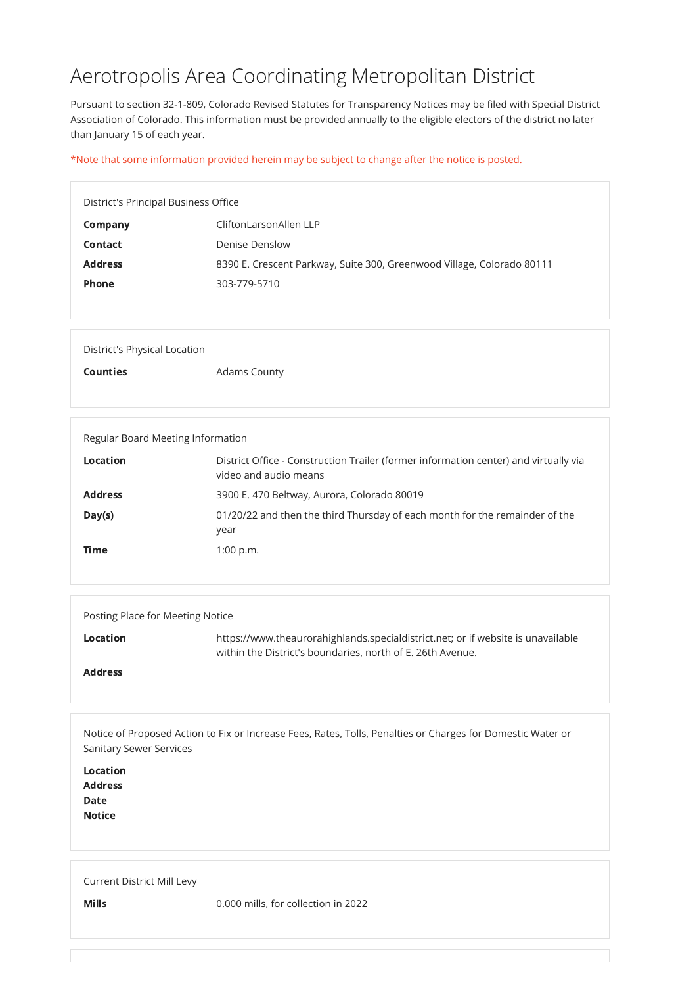# Aerotropolis Area Coordinating Metropolitan District

Pursuant to section 32-1-809, Colorado Revised Statutes for Transparency Notices may be filed with Special District Association of Colorado. This information must be provided annually to the eligible electors of the district no later than January 15 of each year.

\*Note that some information provided herein may be subject to change after the notice is posted.

| District's Principal Business Office |                                                                        |
|--------------------------------------|------------------------------------------------------------------------|
| Company                              | CliftonLarsonAllen LLP                                                 |
| <b>Contact</b>                       | Denise Denslow                                                         |
| <b>Address</b>                       | 8390 E. Crescent Parkway, Suite 300, Greenwood Village, Colorado 80111 |
| <b>Phone</b>                         | 303-779-5710                                                           |
|                                      |                                                                        |

| District's Physical Location |                     |
|------------------------------|---------------------|
| <b>Counties</b>              | <b>Adams County</b> |

| Regular Board Meeting Information |                                                                                                               |
|-----------------------------------|---------------------------------------------------------------------------------------------------------------|
| <b>Location</b>                   | District Office - Construction Trailer (former information center) and virtually via<br>video and audio means |
| <b>Address</b>                    | 3900 E. 470 Beltway, Aurora, Colorado 80019                                                                   |
| Day(s)                            | 01/20/22 and then the third Thursday of each month for the remainder of the<br>year                           |
| <b>Time</b>                       | 1:00 p.m.                                                                                                     |

| Posting Place for Meeting Notice |                                                                                                                                                |
|----------------------------------|------------------------------------------------------------------------------------------------------------------------------------------------|
| Location                         | https://www.theaurorahighlands.specialdistrict.net; or if website is unavailable<br>within the District's boundaries, north of E. 26th Avenue. |
| <b>Address</b>                   |                                                                                                                                                |

Notice of Proposed Action to Fix or Increase Fees, Rates, Tolls, Penalties or Charges for Domestic Water or

|  |  | <b>Sanitary Sewer Services</b> |
|--|--|--------------------------------|
|--|--|--------------------------------|

Location

Address

Date

**Notice** 

#### Current District Mill Levy

Mills **Mills** 0.000 mills, for collection in 2022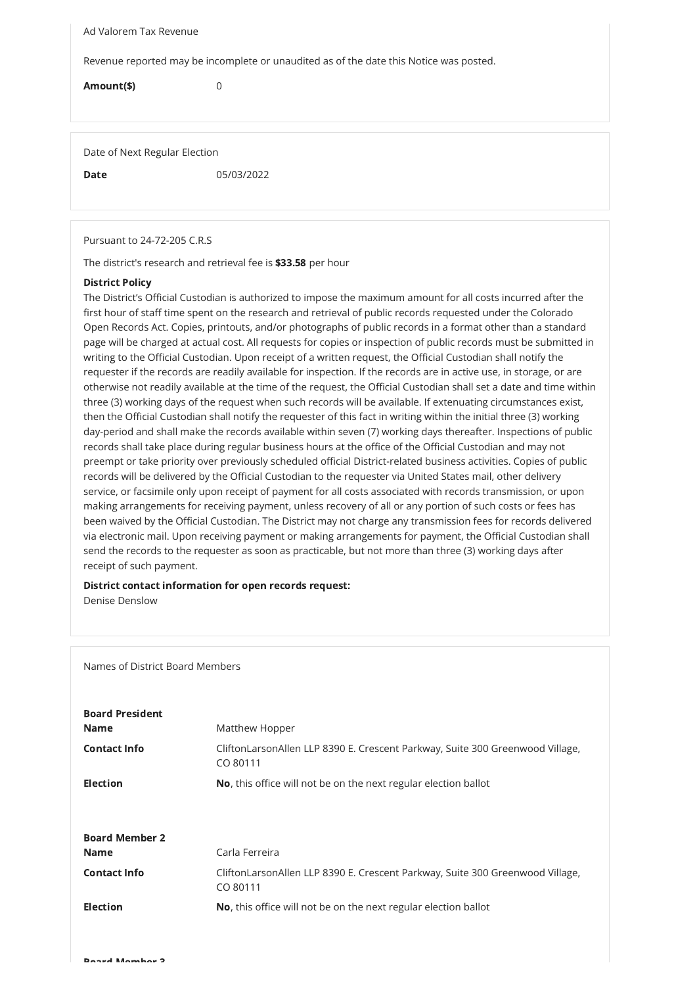Ad Valorem Tax Revenue

Revenue reported may be incomplete or unaudited as of the date this Notice was posted.

Amount(\$) 0

Date of Next Regular Election

**Date** 05/03/2022

Pursuant to 24-72-205 C.R.S

The district's research and retrieval fee is \$33.58 per hour

### District Policy

## Board President **Name** Matthew Hopper

The District's Official Custodian is authorized to impose the maximum amount for all costs incurred after the first hour of staff time spent on the research and retrieval of public records requested under the Colorado Open Records Act. Copies, printouts, and/or photographs of public records in a format other than a standard page will be charged at actual cost. All requests for copies or inspection of public records must be submitted in writing to the Official Custodian. Upon receipt of a written request, the Official Custodian shall notify the requester if the records are readily available for inspection. If the records are in active use, in storage, or are otherwise not readily available at the time of the request, the Official Custodian shall set a date and time within three (3) working days of the request when such records will be available. If extenuating circumstances exist, then the Official Custodian shall notify the requester of this fact in writing within the initial three (3) working day-period and shall make the records available within seven (7) working days thereafter. Inspections of public records shall take place during regular business hours at the office of the Official Custodian and may not preempt or take priority over previously scheduled official District-related business activities. Copies of public records will be delivered by the Official Custodian to the requester via United States mail, other delivery service, or facsimile only upon receipt of payment for all costs associated with records transmission, or upon making arrangements for receiving payment, unless recovery of all or any portion of such costs or fees has been waived by the Official Custodian. The District may not charge any transmission fees for records delivered via electronic mail. Upon receiving payment or making arrangements for payment, the Official Custodian shall send the records to the requester as soon as practicable, but not more than three (3) working days after receipt of such payment.

#### District contact information for open records request: Denise Denslow

Names of District Board Members

| <b>Contact Info</b>   | CliftonLarsonAllen LLP 8390 E. Crescent Parkway, Suite 300 Greenwood Village,<br>CO 80111 |
|-----------------------|-------------------------------------------------------------------------------------------|
| <b>Election</b>       | No, this office will not be on the next regular election ballot                           |
|                       |                                                                                           |
| <b>Board Member 2</b> |                                                                                           |
| <b>Name</b>           | Carla Ferreira                                                                            |
| <b>Contact Info</b>   | CliftonLarsonAllen LLP 8390 E. Crescent Parkway, Suite 300 Greenwood Village,<br>CO 80111 |
| <b>Election</b>       | No, this office will not be on the next regular election ballot                           |
|                       |                                                                                           |
| Doned Mombor 2        |                                                                                           |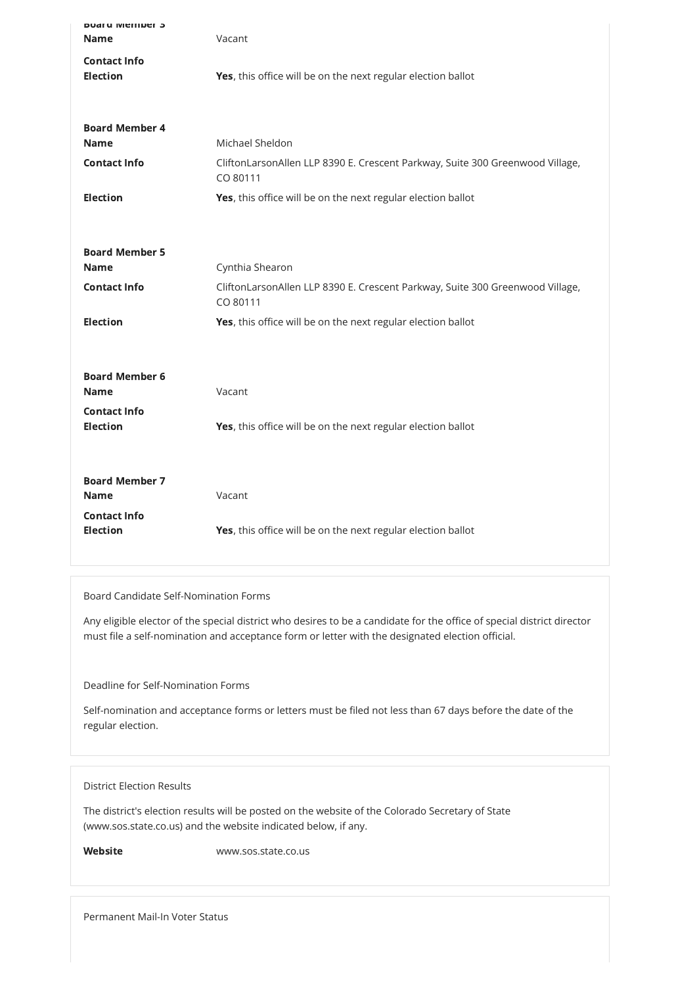| <b>DUATU IVICIIINEI J</b><br><b>Name</b> | Vacant                                                                                    |
|------------------------------------------|-------------------------------------------------------------------------------------------|
| <b>Contact Info</b><br><b>Election</b>   | Yes, this office will be on the next regular election ballot                              |
| <b>Board Member 4</b><br><b>Name</b>     | Michael Sheldon                                                                           |
| <b>Contact Info</b>                      | CliftonLarsonAllen LLP 8390 E. Crescent Parkway, Suite 300 Greenwood Village,<br>CO 80111 |
| <b>Election</b>                          | Yes, this office will be on the next regular election ballot                              |
| <b>Board Member 5</b><br><b>Name</b>     | Cynthia Shearon                                                                           |
| <b>Contact Info</b>                      | CliftonLarsonAllen LLP 8390 E. Crescent Parkway, Suite 300 Greenwood Village,<br>CO 80111 |
| <b>Election</b>                          | Yes, this office will be on the next regular election ballot                              |
| <b>Board Member 6</b><br><b>Name</b>     | Vacant                                                                                    |
| <b>Contact Info</b><br><b>Election</b>   | Yes, this office will be on the next regular election ballot                              |
| <b>Board Member 7</b><br><b>Name</b>     | Vacant                                                                                    |
| <b>Contact Info</b><br><b>Election</b>   | Yes, this office will be on the next regular election ballot                              |

Board Candidate Self-Nomination Forms

Any eligible elector of the special district who desires to be a candidate for the office of special district director must file a self-nomination and acceptance form or letter with the designated election official.

Deadline for Self-Nomination Forms

Self-nomination and acceptance forms or letters must be filed not less than 67 days before the date of the regular election.

District Election Results

The district's election results will be posted on the website of the Colorado Secretary of State (www.sos.state.co.us) and the website indicated below, if any.

Website www.sos.state.co.us

Permanent Mail-In Voter Status